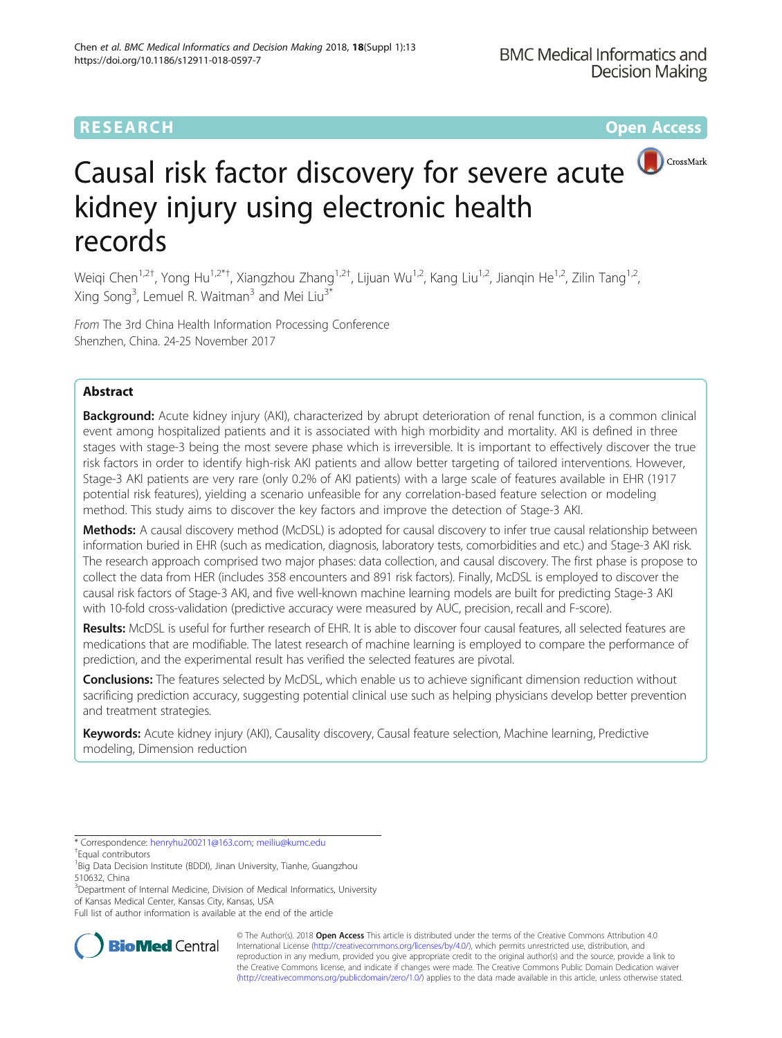# **RESEARCH CHEAR CHEAR CHEAR CHEAR CHEAR CHEAR CHEAR CHEAR CHEAR CHEAR CHEAR CHEAR CHEAR CHEAR CHEAR CHEAR CHEAR**



# Causal risk factor discovery for severe acute kidney injury using electronic health records

Weiqi Chen<sup>1,2†</sup>, Yong Hu<sup>1,2\*†</sup>, Xiangzhou Zhang<sup>1,2†</sup>, Lijuan Wu<sup>1,2</sup>, Kang Liu<sup>1,2</sup>, Jianqin He<sup>1,2</sup>, Zilin Tang<sup>1,2</sup>, Xing Song<sup>3</sup>, Lemuel R. Waitman<sup>3</sup> and Mei Liu<sup>3\*</sup>

From The 3rd China Health Information Processing Conference Shenzhen, China. 24-25 November 2017

# Abstract

Background: Acute kidney injury (AKI), characterized by abrupt deterioration of renal function, is a common clinical event among hospitalized patients and it is associated with high morbidity and mortality. AKI is defined in three stages with stage-3 being the most severe phase which is irreversible. It is important to effectively discover the true risk factors in order to identify high-risk AKI patients and allow better targeting of tailored interventions. However, Stage-3 AKI patients are very rare (only 0.2% of AKI patients) with a large scale of features available in EHR (1917 potential risk features), yielding a scenario unfeasible for any correlation-based feature selection or modeling method. This study aims to discover the key factors and improve the detection of Stage-3 AKI.

Methods: A causal discovery method (McDSL) is adopted for causal discovery to infer true causal relationship between information buried in EHR (such as medication, diagnosis, laboratory tests, comorbidities and etc.) and Stage-3 AKI risk. The research approach comprised two major phases: data collection, and causal discovery. The first phase is propose to collect the data from HER (includes 358 encounters and 891 risk factors). Finally, McDSL is employed to discover the causal risk factors of Stage-3 AKI, and five well-known machine learning models are built for predicting Stage-3 AKI with 10-fold cross-validation (predictive accuracy were measured by AUC, precision, recall and F-score).

Results: McDSL is useful for further research of EHR. It is able to discover four causal features, all selected features are medications that are modifiable. The latest research of machine learning is employed to compare the performance of prediction, and the experimental result has verified the selected features are pivotal.

Conclusions: The features selected by McDSL, which enable us to achieve significant dimension reduction without sacrificing prediction accuracy, suggesting potential clinical use such as helping physicians develop better prevention and treatment strategies.

Keywords: Acute kidney injury (AKI), Causality discovery, Causal feature selection, Machine learning, Predictive modeling, Dimension reduction

\* Correspondence: [henryhu200211@163.com;](mailto:henryhu200211@163.com) [meiliu@kumc.edu](mailto:meiliu@kumc.edu) †

<sup>3</sup>Department of Internal Medicine, Division of Medical Informatics, University of Kansas Medical Center, Kansas City, Kansas, USA

Full list of author information is available at the end of the article



© The Author(s). 2018 Open Access This article is distributed under the terms of the Creative Commons Attribution 4.0 International License [\(http://creativecommons.org/licenses/by/4.0/](http://creativecommons.org/licenses/by/4.0/)), which permits unrestricted use, distribution, and reproduction in any medium, provided you give appropriate credit to the original author(s) and the source, provide a link to the Creative Commons license, and indicate if changes were made. The Creative Commons Public Domain Dedication waiver [\(http://creativecommons.org/publicdomain/zero/1.0/](http://creativecommons.org/publicdomain/zero/1.0/)) applies to the data made available in this article, unless otherwise stated.

Equal contributors

<sup>&</sup>lt;sup>1</sup>Big Data Decision Institute (BDDI), Jinan University, Tianhe, Guangzhou 510632, China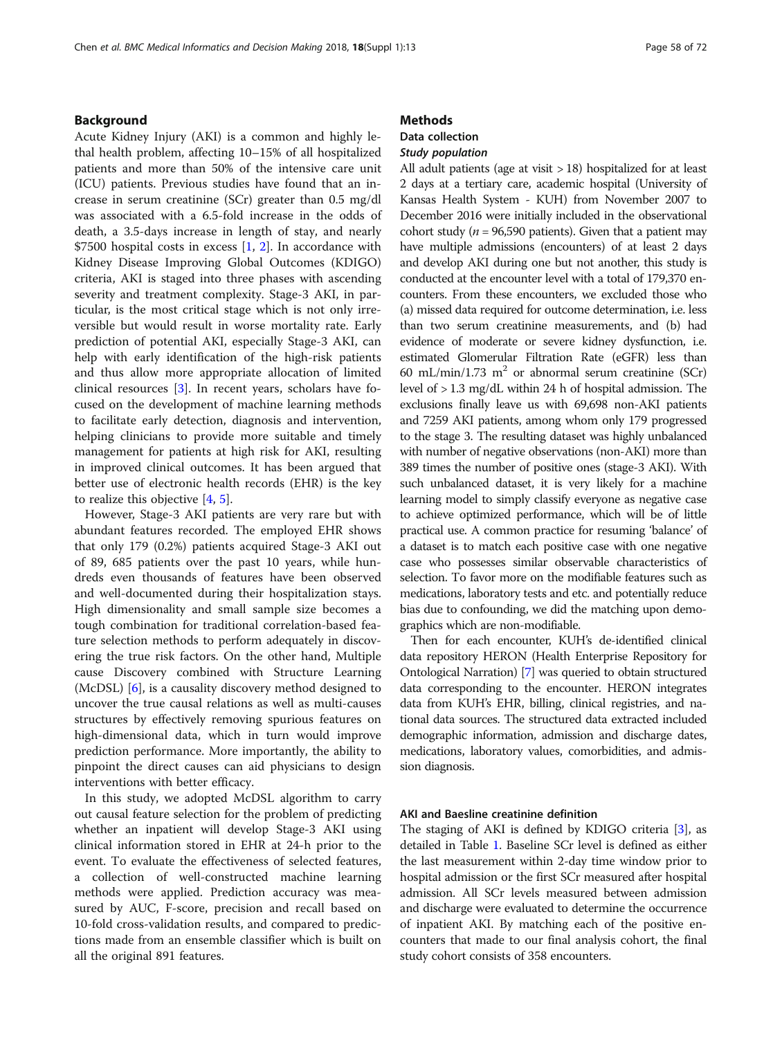# Background

Acute Kidney Injury (AKI) is a common and highly lethal health problem, affecting 10–15% of all hospitalized patients and more than 50% of the intensive care unit (ICU) patients. Previous studies have found that an increase in serum creatinine (SCr) greater than 0.5 mg/dl was associated with a 6.5-fold increase in the odds of death, a 3.5-days increase in length of stay, and nearly \$7500 hospital costs in excess  $[1, 2]$  $[1, 2]$  $[1, 2]$ . In accordance with Kidney Disease Improving Global Outcomes (KDIGO) criteria, AKI is staged into three phases with ascending severity and treatment complexity. Stage-3 AKI, in particular, is the most critical stage which is not only irreversible but would result in worse mortality rate. Early prediction of potential AKI, especially Stage-3 AKI, can help with early identification of the high-risk patients and thus allow more appropriate allocation of limited clinical resources [\[3](#page-5-0)]. In recent years, scholars have focused on the development of machine learning methods to facilitate early detection, diagnosis and intervention, helping clinicians to provide more suitable and timely management for patients at high risk for AKI, resulting in improved clinical outcomes. It has been argued that better use of electronic health records (EHR) is the key to realize this objective [\[4](#page-5-0), [5](#page-5-0)].

However, Stage-3 AKI patients are very rare but with abundant features recorded. The employed EHR shows that only 179 (0.2%) patients acquired Stage-3 AKI out of 89, 685 patients over the past 10 years, while hundreds even thousands of features have been observed and well-documented during their hospitalization stays. High dimensionality and small sample size becomes a tough combination for traditional correlation-based feature selection methods to perform adequately in discovering the true risk factors. On the other hand, Multiple cause Discovery combined with Structure Learning (McDSL) [\[6](#page-5-0)], is a causality discovery method designed to uncover the true causal relations as well as multi-causes structures by effectively removing spurious features on high-dimensional data, which in turn would improve prediction performance. More importantly, the ability to pinpoint the direct causes can aid physicians to design interventions with better efficacy.

In this study, we adopted McDSL algorithm to carry out causal feature selection for the problem of predicting whether an inpatient will develop Stage-3 AKI using clinical information stored in EHR at 24-h prior to the event. To evaluate the effectiveness of selected features, a collection of well-constructed machine learning methods were applied. Prediction accuracy was measured by AUC, F-score, precision and recall based on 10-fold cross-validation results, and compared to predictions made from an ensemble classifier which is built on all the original 891 features.

#### **Methods**

# Data collection

# Study population

All adult patients (age at visit > 18) hospitalized for at least 2 days at a tertiary care, academic hospital (University of Kansas Health System - KUH) from November 2007 to December 2016 were initially included in the observational cohort study ( $n = 96,590$  patients). Given that a patient may have multiple admissions (encounters) of at least 2 days and develop AKI during one but not another, this study is conducted at the encounter level with a total of 179,370 encounters. From these encounters, we excluded those who (a) missed data required for outcome determination, i.e. less than two serum creatinine measurements, and (b) had evidence of moderate or severe kidney dysfunction, i.e. estimated Glomerular Filtration Rate (eGFR) less than 60 mL/min/1.73 m<sup>2</sup> or abnormal serum creatinine (SCr) level of > 1.3 mg/dL within 24 h of hospital admission. The exclusions finally leave us with 69,698 non-AKI patients and 7259 AKI patients, among whom only 179 progressed to the stage 3. The resulting dataset was highly unbalanced with number of negative observations (non-AKI) more than 389 times the number of positive ones (stage-3 AKI). With such unbalanced dataset, it is very likely for a machine learning model to simply classify everyone as negative case to achieve optimized performance, which will be of little practical use. A common practice for resuming 'balance' of a dataset is to match each positive case with one negative case who possesses similar observable characteristics of selection. To favor more on the modifiable features such as medications, laboratory tests and etc. and potentially reduce bias due to confounding, we did the matching upon demographics which are non-modifiable.

Then for each encounter, KUH's de-identified clinical data repository HERON (Health Enterprise Repository for Ontological Narration) [\[7\]](#page-5-0) was queried to obtain structured data corresponding to the encounter. HERON integrates data from KUH's EHR, billing, clinical registries, and national data sources. The structured data extracted included demographic information, admission and discharge dates, medications, laboratory values, comorbidities, and admission diagnosis.

## AKI and Baesline creatinine definition

The staging of AKI is defined by KDIGO criteria [\[3](#page-5-0)], as detailed in Table [1](#page-2-0). Baseline SCr level is defined as either the last measurement within 2-day time window prior to hospital admission or the first SCr measured after hospital admission. All SCr levels measured between admission and discharge were evaluated to determine the occurrence of inpatient AKI. By matching each of the positive encounters that made to our final analysis cohort, the final study cohort consists of 358 encounters.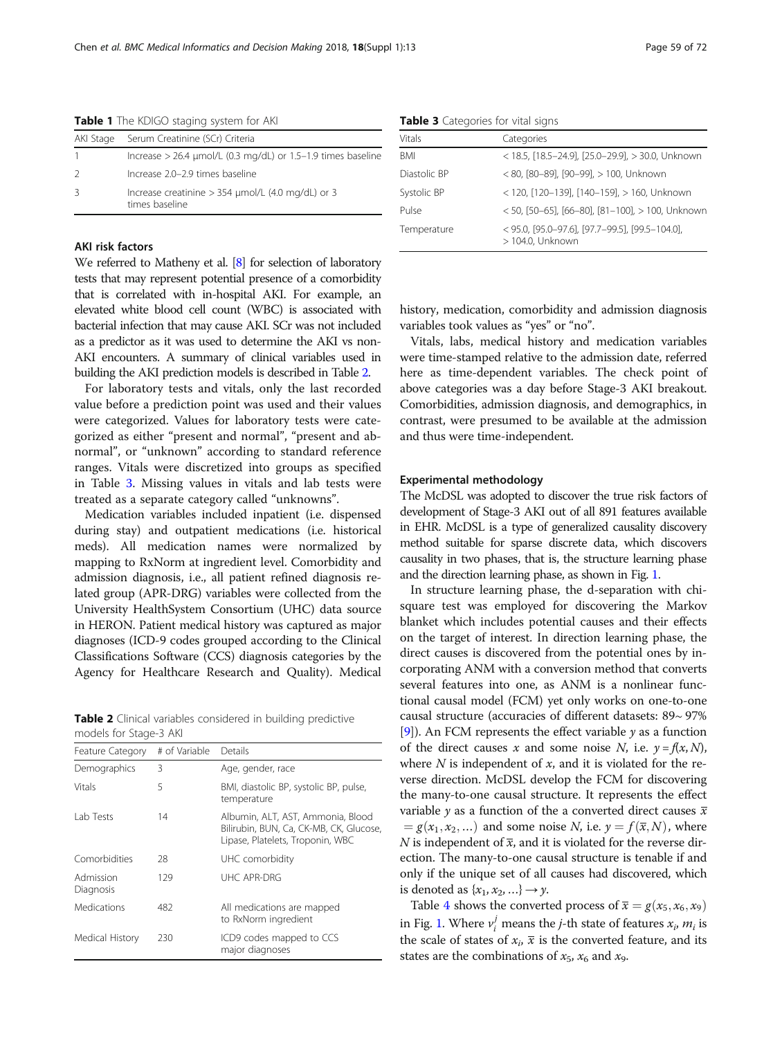| AKI Stage | Serum Creatinine (SCr) Criteria                                            |
|-----------|----------------------------------------------------------------------------|
|           | Increase > 26.4 µmol/L (0.3 mg/dL) or 1.5-1.9 times baseline               |
|           | Increase 2.0-2.9 times baseline                                            |
|           | Increase creatinine $>$ 354 $\mu$ mol/L (4.0 mg/dL) or 3<br>times baseline |

<span id="page-2-0"></span>Table 1 The KDIGO staging system for AKI

## AKI risk factors

We referred to Matheny et al. [\[8](#page-6-0)] for selection of laboratory tests that may represent potential presence of a comorbidity that is correlated with in-hospital AKI. For example, an elevated white blood cell count (WBC) is associated with bacterial infection that may cause AKI. SCr was not included as a predictor as it was used to determine the AKI vs non-AKI encounters. A summary of clinical variables used in building the AKI prediction models is described in Table 2.

For laboratory tests and vitals, only the last recorded value before a prediction point was used and their values were categorized. Values for laboratory tests were categorized as either "present and normal", "present and abnormal", or "unknown" according to standard reference ranges. Vitals were discretized into groups as specified in Table 3. Missing values in vitals and lab tests were treated as a separate category called "unknowns".

Medication variables included inpatient (i.e. dispensed during stay) and outpatient medications (i.e. historical meds). All medication names were normalized by mapping to RxNorm at ingredient level. Comorbidity and admission diagnosis, i.e., all patient refined diagnosis related group (APR-DRG) variables were collected from the University HealthSystem Consortium (UHC) data source in HERON. Patient medical history was captured as major diagnoses (ICD-9 codes grouped according to the Clinical Classifications Software (CCS) diagnosis categories by the Agency for Healthcare Research and Quality). Medical

Table 2 Clinical variables considered in building predictive models for Stage-3 AKI

| Feature Category       | # of Variable | Details                                                                                                          |
|------------------------|---------------|------------------------------------------------------------------------------------------------------------------|
| Demographics           | 3             | Age, gender, race                                                                                                |
| Vitals                 | 5             | BMI, diastolic BP, systolic BP, pulse,<br>temperature                                                            |
| Lab Tests              | 14            | Albumin, ALT, AST, Ammonia, Blood<br>Bilirubin, BUN, Ca, CK-MB, CK, Glucose,<br>Lipase, Platelets, Troponin, WBC |
| Comorbidities          | 28            | UHC comorbidity                                                                                                  |
| Admission<br>Diagnosis | 129           | UHC APR-DRG                                                                                                      |
| Medications            | 482           | All medications are mapped<br>to RxNorm ingredient                                                               |
| Medical History        | 230           | ICD9 codes mapped to CCS<br>major diagnoses                                                                      |

Table 3 Categories for vital signs

| <b>Vitals</b> | Categories                                                          |
|---------------|---------------------------------------------------------------------|
| <b>BMI</b>    | < 18.5, [18.5-24.9], [25.0-29.9], > 30.0, Unknown                   |
| Diastolic BP  | < 80, [80-89], [90-99], > 100, Unknown                              |
| Systolic BP   | < 120, [120-139], [140-159], > 160, Unknown                         |
| Pulse         | $<$ 50, [50-65], [66-80], [81-100], > 100, Unknown                  |
| Temperature   | < 95.0, [95.0-97.6], [97.7-99.5], [99.5-104.0],<br>> 104.0, Unknown |

history, medication, comorbidity and admission diagnosis variables took values as "yes" or "no".

Vitals, labs, medical history and medication variables were time-stamped relative to the admission date, referred here as time-dependent variables. The check point of above categories was a day before Stage-3 AKI breakout. Comorbidities, admission diagnosis, and demographics, in contrast, were presumed to be available at the admission and thus were time-independent.

## Experimental methodology

The McDSL was adopted to discover the true risk factors of development of Stage-3 AKI out of all 891 features available in EHR. McDSL is a type of generalized causality discovery method suitable for sparse discrete data, which discovers causality in two phases, that is, the structure learning phase and the direction learning phase, as shown in Fig. [1](#page-3-0).

In structure learning phase, the d-separation with chisquare test was employed for discovering the Markov blanket which includes potential causes and their effects on the target of interest. In direction learning phase, the direct causes is discovered from the potential ones by incorporating ANM with a conversion method that converts several features into one, as ANM is a nonlinear functional causal model (FCM) yet only works on one-to-one causal structure (accuracies of different datasets: 89~ 97% [[9\]](#page-6-0)). An FCM represents the effect variable  $\gamma$  as a function of the direct causes x and some noise N, i.e.  $y = f(x, N)$ , where  $N$  is independent of  $x$ , and it is violated for the reverse direction. McDSL develop the FCM for discovering the many-to-one causal structure. It represents the effect variable y as a function of the a converted direct causes  $\overline{x}$  $g(x_1, x_2, \ldots)$  and some noise N, i.e.  $y = f(\overline{x}, N)$ , where N is independent of  $\overline{x}$ , and it is violated for the reverse direction. The many-to-one causal structure is tenable if and only if the unique set of all causes had discovered, which is denoted as  $\{x_1, x_2, ...\} \rightarrow \gamma$ .

Table [4](#page-3-0) shows the converted process of  $\overline{x} = g(x_5, x_6, x_9)$ in Fig. [1.](#page-3-0) Where  $v'_i$  means the *j*-th state of features  $x_i$ ,  $m_i$  is<br>the scale of states of  $x \neq i$  is the converted feature, and its the scale of states of  $x_i$ ,  $\overline{x}$  is the converted feature, and its states are the combinations of  $x_5$ ,  $x_6$  and  $x_9$ .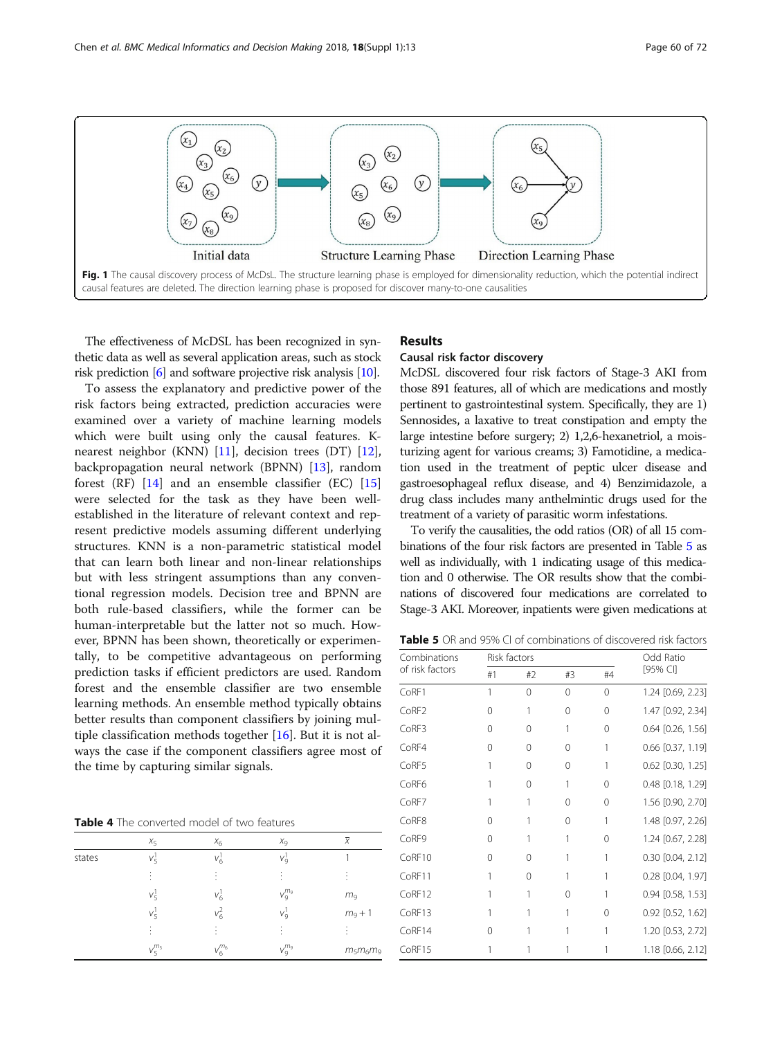<span id="page-3-0"></span>

The effectiveness of McDSL has been recognized in synthetic data as well as several application areas, such as stock risk prediction [\[6\]](#page-5-0) and software projective risk analysis [[10](#page-6-0)].

To assess the explanatory and predictive power of the risk factors being extracted, prediction accuracies were examined over a variety of machine learning models which were built using only the causal features. Knearest neighbor (KNN) [\[11](#page-6-0)], decision trees (DT) [\[12](#page-6-0)], backpropagation neural network (BPNN) [[13](#page-6-0)], random forest  $(RF)$  [\[14](#page-6-0)] and an ensemble classifier  $(EC)$  [[15](#page-6-0)] were selected for the task as they have been wellestablished in the literature of relevant context and represent predictive models assuming different underlying structures. KNN is a non-parametric statistical model that can learn both linear and non-linear relationships but with less stringent assumptions than any conventional regression models. Decision tree and BPNN are both rule-based classifiers, while the former can be human-interpretable but the latter not so much. However, BPNN has been shown, theoretically or experimentally, to be competitive advantageous on performing prediction tasks if efficient predictors are used. Random forest and the ensemble classifier are two ensemble learning methods. An ensemble method typically obtains better results than component classifiers by joining multiple classification methods together [[16](#page-6-0)]. But it is not always the case if the component classifiers agree most of the time by capturing similar signals.

Table 4 The converted model of two features

|        | $X_5$           | $X_6$           | $X_9$                    | $\bar{x}$      |
|--------|-----------------|-----------------|--------------------------|----------------|
| states | Vξ              | $V_6$           | $V_9^1$                  |                |
|        | ٠               |                 |                          | ٠              |
|        | $v_5^1$         | $V_6^1$         | $V_9^{m_9}$              | m <sub>9</sub> |
|        | $V_{\varsigma}$ | $v_6^2$         | $V_{\rm Q}$              | $m_9 + 1$      |
|        | ٠               |                 | $\overline{\phantom{a}}$ |                |
|        | $V_{5}^{m_{5}}$ | $V_{6}^{m_{6}}$ | $V_9^{m_9}$              | $m_5 m_6 m_9$  |
|        |                 |                 |                          |                |

# Results

# Causal risk factor discovery

McDSL discovered four risk factors of Stage-3 AKI from those 891 features, all of which are medications and mostly pertinent to gastrointestinal system. Specifically, they are 1) Sennosides, a laxative to treat constipation and empty the large intestine before surgery; 2) 1,2,6-hexanetriol, a moisturizing agent for various creams; 3) Famotidine, a medication used in the treatment of peptic ulcer disease and gastroesophageal reflux disease, and 4) Benzimidazole, a drug class includes many anthelmintic drugs used for the treatment of a variety of parasitic worm infestations.

To verify the causalities, the odd ratios (OR) of all 15 combinations of the four risk factors are presented in Table 5 as well as individually, with 1 indicating usage of this medication and 0 otherwise. The OR results show that the combinations of discovered four medications are correlated to Stage-3 AKI. Moreover, inpatients were given medications at

Table 5 OR and 95% CI of combinations of discovered risk factors

| Combinations      | Risk factors |          |          |          | Odd Ratio             |  |
|-------------------|--------------|----------|----------|----------|-----------------------|--|
| of risk factors   | #1           | #2       | #3       | #4       | [95% CI]              |  |
| CoRF1             | 1            | $\Omega$ | $\Omega$ | 0        | 1.24 [0.69, 2.23]     |  |
| CoRF <sub>2</sub> | $\Omega$     | 1        | $\Omega$ | 0        | 1.47 [0.92, 2.34]     |  |
| CoRF3             | $\Omega$     | 0        | 1        | $\Omega$ | $0.64$ [0.26, 1.56]   |  |
| CoRF4             | $\Omega$     | 0        | $\Omega$ | 1        | $0.66$ [0.37, 1.19]   |  |
| CoRF5             | 1            | 0        | 0        | 1        | $0.62$ [0.30, 1.25]   |  |
| CoRF <sub>6</sub> |              | 0        |          | 0        | 0.48 [0.18, 1.29]     |  |
| CoRF7             |              | 1        | 0        | 0        | 1.56 [0.90, 2.70]     |  |
| CoRF8             | 0            |          | $\Omega$ | 1        | 1.48 [0.97, 2.26]     |  |
| CoRF9             | 0            |          |          | 0        | 1.24 [0.67, 2.28]     |  |
| CoRF10            | 0            | 0        |          | 1        | $0.30$ $[0.04, 2.12]$ |  |
| CoRF11            |              | 0        |          |          | $0.28$ $[0.04, 1.97]$ |  |
| CoRF12            |              | 1        | 0        | 1        | $0.94$ [0.58, 1.53]   |  |
| CoRF13            |              |          |          | $\Omega$ | $0.92$ $[0.52, 1.62]$ |  |
| CoRF14            | 0            |          |          |          | 1.20 [0.53, 2.72]     |  |
| CoRF15            |              |          |          |          | 1.18 [0.66, 2.12]     |  |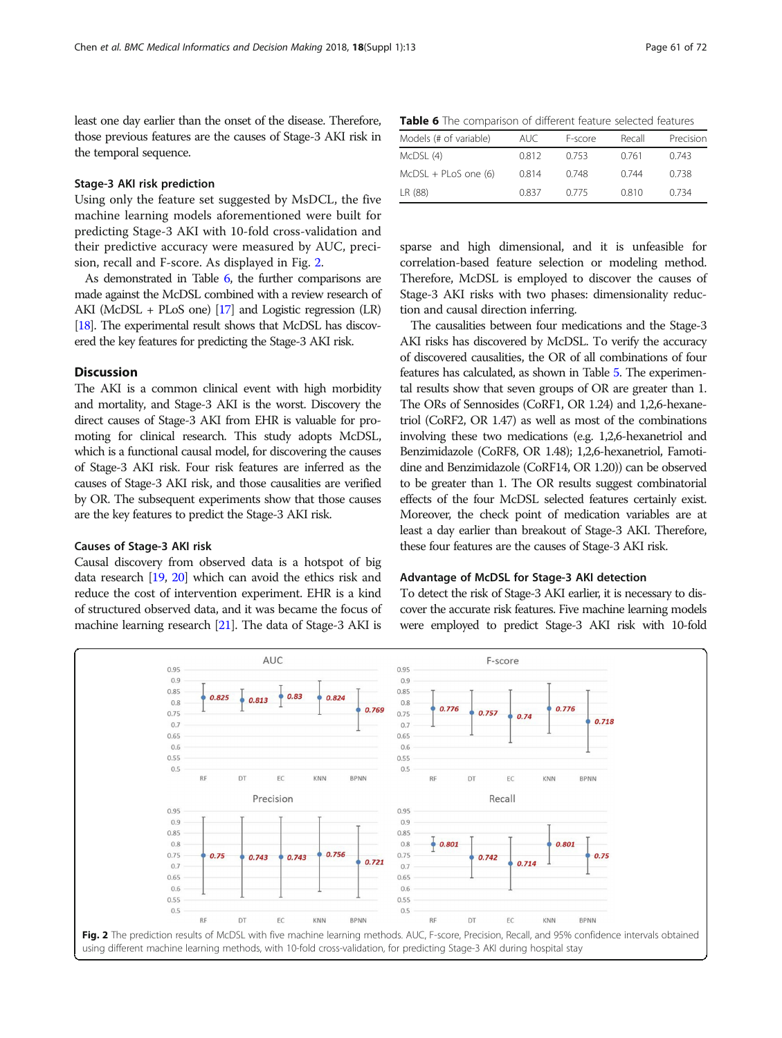least one day earlier than the onset of the disease. Therefore, those previous features are the causes of Stage-3 AKI risk in the temporal sequence.

# Stage-3 AKI risk prediction

Using only the feature set suggested by MsDCL, the five machine learning models aforementioned were built for predicting Stage-3 AKI with 10-fold cross-validation and their predictive accuracy were measured by AUC, precision, recall and F-score. As displayed in Fig. 2.

As demonstrated in Table 6, the further comparisons are made against the McDSL combined with a review research of AKI (McDSL + PLoS one) [\[17\]](#page-6-0) and Logistic regression (LR) [[18\]](#page-6-0). The experimental result shows that McDSL has discovered the key features for predicting the Stage-3 AKI risk.

# Discussion

The AKI is a common clinical event with high morbidity and mortality, and Stage-3 AKI is the worst. Discovery the direct causes of Stage-3 AKI from EHR is valuable for promoting for clinical research. This study adopts McDSL, which is a functional causal model, for discovering the causes of Stage-3 AKI risk. Four risk features are inferred as the causes of Stage-3 AKI risk, and those causalities are verified by OR. The subsequent experiments show that those causes are the key features to predict the Stage-3 AKI risk.

#### Causes of Stage-3 AKI risk

Causal discovery from observed data is a hotspot of big data research [\[19](#page-6-0), [20](#page-6-0)] which can avoid the ethics risk and reduce the cost of intervention experiment. EHR is a kind of structured observed data, and it was became the focus of machine learning research [[21\]](#page-6-0). The data of Stage-3 AKI is

Table 6 The comparison of different feature selected features

| Models (# of variable) | AUC.  | F-score | Recall | Precision |
|------------------------|-------|---------|--------|-----------|
| McDSL (4)              | 0.812 | 0.753   | 0.761  | 0.743     |
| $McDSL + PLoS$ one (6) | 0.814 | 0.748   | 0.744  | 0.738     |
| LR (88)                | 0.837 | 0.775   | 0.810  | 0.734     |

sparse and high dimensional, and it is unfeasible for correlation-based feature selection or modeling method. Therefore, McDSL is employed to discover the causes of Stage-3 AKI risks with two phases: dimensionality reduction and causal direction inferring.

The causalities between four medications and the Stage-3 AKI risks has discovered by McDSL. To verify the accuracy of discovered causalities, the OR of all combinations of four features has calculated, as shown in Table [5.](#page-3-0) The experimental results show that seven groups of OR are greater than 1. The ORs of Sennosides (CoRF1, OR 1.24) and 1,2,6-hexanetriol (CoRF2, OR 1.47) as well as most of the combinations involving these two medications (e.g. 1,2,6-hexanetriol and Benzimidazole (CoRF8, OR 1.48); 1,2,6-hexanetriol, Famotidine and Benzimidazole (CoRF14, OR 1.20)) can be observed to be greater than 1. The OR results suggest combinatorial effects of the four McDSL selected features certainly exist. Moreover, the check point of medication variables are at least a day earlier than breakout of Stage-3 AKI. Therefore, these four features are the causes of Stage-3 AKI risk.

#### Advantage of McDSL for Stage-3 AKI detection

To detect the risk of Stage-3 AKI earlier, it is necessary to discover the accurate risk features. Five machine learning models were employed to predict Stage-3 AKI risk with 10-fold

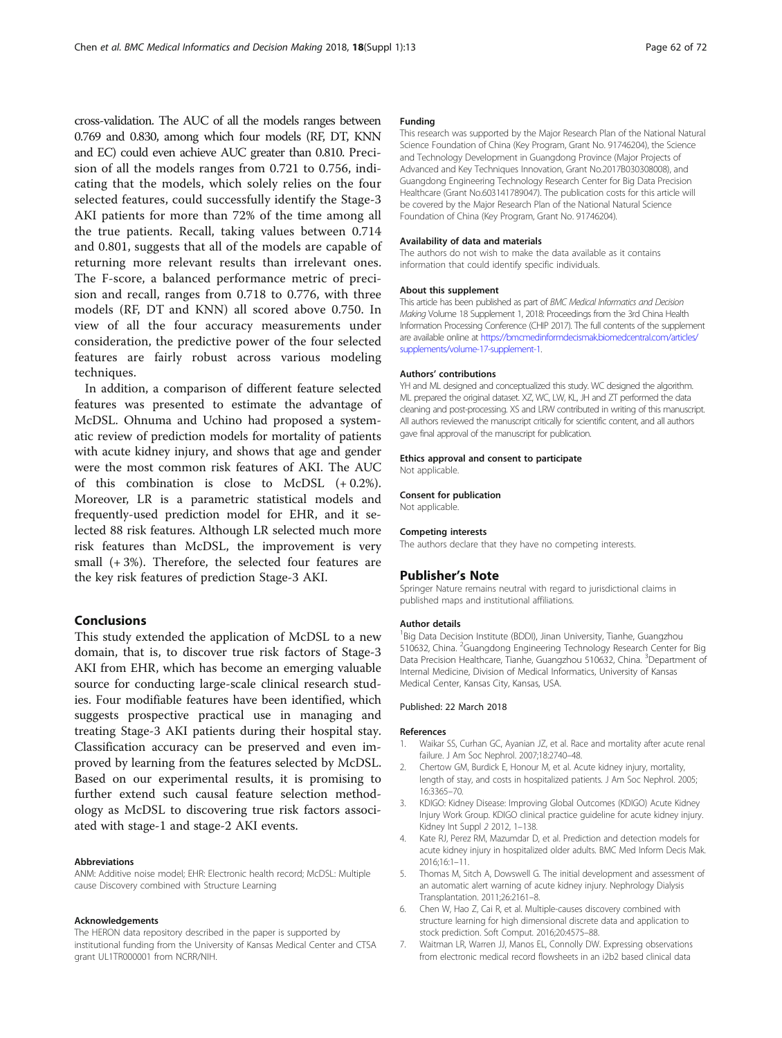<span id="page-5-0"></span>cross-validation. The AUC of all the models ranges between 0.769 and 0.830, among which four models (RF, DT, KNN and EC) could even achieve AUC greater than 0.810. Precision of all the models ranges from 0.721 to 0.756, indicating that the models, which solely relies on the four selected features, could successfully identify the Stage-3 AKI patients for more than 72% of the time among all the true patients. Recall, taking values between 0.714 and 0.801, suggests that all of the models are capable of returning more relevant results than irrelevant ones. The F-score, a balanced performance metric of precision and recall, ranges from 0.718 to 0.776, with three models (RF, DT and KNN) all scored above 0.750. In view of all the four accuracy measurements under consideration, the predictive power of the four selected features are fairly robust across various modeling techniques.

In addition, a comparison of different feature selected features was presented to estimate the advantage of McDSL. Ohnuma and Uchino had proposed a systematic review of prediction models for mortality of patients with acute kidney injury, and shows that age and gender were the most common risk features of AKI. The AUC of this combination is close to McDSL (+ 0.2%). Moreover, LR is a parametric statistical models and frequently-used prediction model for EHR, and it selected 88 risk features. Although LR selected much more risk features than McDSL, the improvement is very small (+ 3%). Therefore, the selected four features are the key risk features of prediction Stage-3 AKI.

## Conclusions

This study extended the application of McDSL to a new domain, that is, to discover true risk factors of Stage-3 AKI from EHR, which has become an emerging valuable source for conducting large-scale clinical research studies. Four modifiable features have been identified, which suggests prospective practical use in managing and treating Stage-3 AKI patients during their hospital stay. Classification accuracy can be preserved and even improved by learning from the features selected by McDSL. Based on our experimental results, it is promising to further extend such causal feature selection methodology as McDSL to discovering true risk factors associated with stage-1 and stage-2 AKI events.

#### Abbreviations

ANM: Additive noise model; EHR: Electronic health record; McDSL: Multiple cause Discovery combined with Structure Learning

#### Acknowledgements

The HERON data repository described in the paper is supported by institutional funding from the University of Kansas Medical Center and CTSA grant UL1TR000001 from NCRR/NIH.

#### Funding

This research was supported by the Major Research Plan of the National Natural Science Foundation of China (Key Program, Grant No. 91746204), the Science and Technology Development in Guangdong Province (Major Projects of Advanced and Key Techniques Innovation, Grant No.2017B030308008), and Guangdong Engineering Technology Research Center for Big Data Precision Healthcare (Grant No.603141789047). The publication costs for this article will be covered by the Major Research Plan of the National Natural Science Foundation of China (Key Program, Grant No. 91746204).

#### Availability of data and materials

The authors do not wish to make the data available as it contains information that could identify specific individuals.

#### About this supplement

This article has been published as part of BMC Medical Informatics and Decision Making Volume 18 Supplement 1, 2018: Proceedings from the 3rd China Health Information Processing Conference (CHIP 2017). The full contents of the supplement are available online at [https://bmcmedinformdecismak.biomedcentral.com/articles/](https://bmcmedinformdecismak.biomedcentral.com/articles/supplements/volume-17-supplement-1) [supplements/volume-17-supplement-1.](https://bmcmedinformdecismak.biomedcentral.com/articles/supplements/volume-17-supplement-1)

#### Authors' contributions

YH and ML designed and conceptualized this study. WC designed the algorithm. ML prepared the original dataset. XZ, WC, LW, KL, JH and ZT performed the data cleaning and post-processing. XS and LRW contributed in writing of this manuscript. All authors reviewed the manuscript critically for scientific content, and all authors gave final approval of the manuscript for publication.

#### Ethics approval and consent to participate

Not applicable.

#### Consent for publication

Not applicable.

#### Competing interests

The authors declare that they have no competing interests.

#### Publisher's Note

Springer Nature remains neutral with regard to jurisdictional claims in published maps and institutional affiliations.

#### Author details

<sup>1</sup>Big Data Decision Institute (BDDI), Jinan University, Tianhe, Guangzhou 510632, China. <sup>2</sup>Guangdong Engineering Technology Research Center for Big Data Precision Healthcare, Tianhe, Guangzhou 510632, China. <sup>3</sup>Department of Internal Medicine, Division of Medical Informatics, University of Kansas Medical Center, Kansas City, Kansas, USA.

### Published: 22 March 2018

#### References

- 1. Waikar SS, Curhan GC, Ayanian JZ, et al. Race and mortality after acute renal failure. J Am Soc Nephrol. 2007;18:2740–48.
- 2. Chertow GM, Burdick E, Honour M, et al. Acute kidney injury, mortality, length of stay, and costs in hospitalized patients. J Am Soc Nephrol. 2005; 16:3365–70.
- 3. KDIGO: Kidney Disease: Improving Global Outcomes (KDIGO) Acute Kidney Injury Work Group. KDIGO clinical practice guideline for acute kidney injury. Kidney Int Suppl 2 2012, 1–138.
- 4. Kate RJ, Perez RM, Mazumdar D, et al. Prediction and detection models for acute kidney injury in hospitalized older adults. BMC Med Inform Decis Mak. 2016;16:1–11.
- 5. Thomas M, Sitch A, Dowswell G. The initial development and assessment of an automatic alert warning of acute kidney injury. Nephrology Dialysis Transplantation. 2011;26:2161–8.
- 6. Chen W, Hao Z, Cai R, et al. Multiple-causes discovery combined with structure learning for high dimensional discrete data and application to stock prediction. Soft Comput. 2016;20:4575–88.
- 7. Waitman LR, Warren JJ, Manos EL, Connolly DW. Expressing observations from electronic medical record flowsheets in an i2b2 based clinical data